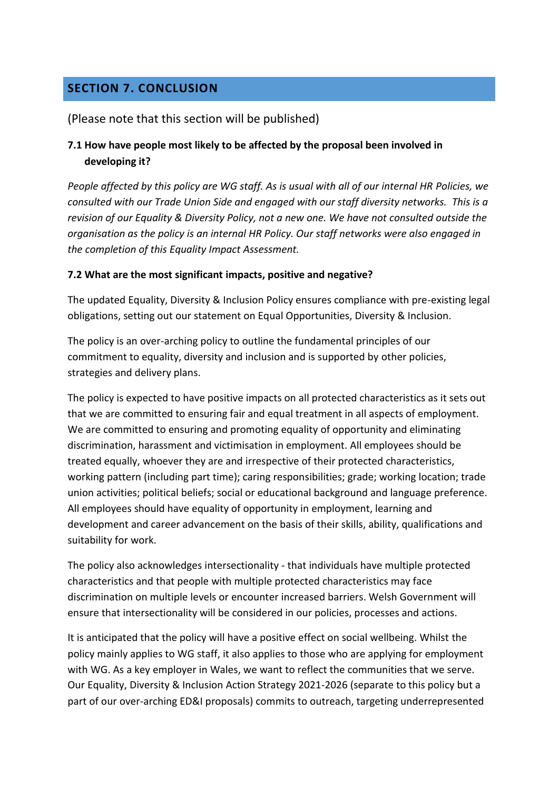# **SECTION 7. CONCLUSION**

### (Please note that this section will be published)

### **7.1 How have people most likely to be affected by the proposal been involved in developing it?**

*People affected by this policy are WG staff. As is usual with all of our internal HR Policies, we consulted with our Trade Union Side and engaged with our staff diversity networks. This is a revision of our Equality & Diversity Policy, not a new one. We have not consulted outside the organisation as the policy is an internal HR Policy. Our staff networks were also engaged in the completion of this Equality Impact Assessment.*

#### **7.2 What are the most significant impacts, positive and negative?**

The updated Equality, Diversity & Inclusion Policy ensures compliance with pre-existing legal obligations, setting out our statement on Equal Opportunities, Diversity & Inclusion.

The policy is an over-arching policy to outline the fundamental principles of our commitment to equality, diversity and inclusion and is supported by other policies, strategies and delivery plans.

The policy is expected to have positive impacts on all protected characteristics as it sets out that we are committed to ensuring fair and equal treatment in all aspects of employment. We are committed to ensuring and promoting equality of opportunity and eliminating discrimination, harassment and victimisation in employment. All employees should be treated equally, whoever they are and irrespective of their protected characteristics, working pattern (including part time); caring responsibilities; grade; working location; trade union activities; political beliefs; social or educational background and language preference. All employees should have equality of opportunity in employment, learning and development and career advancement on the basis of their skills, ability, qualifications and suitability for work.

The policy also acknowledges intersectionality - that individuals have multiple protected characteristics and that people with multiple protected characteristics may face discrimination on multiple levels or encounter increased barriers. Welsh Government will ensure that intersectionality will be considered in our policies, processes and actions.

It is anticipated that the policy will have a positive effect on social wellbeing. Whilst the policy mainly applies to WG staff, it also applies to those who are applying for employment with WG. As a key employer in Wales, we want to reflect the communities that we serve. Our Equality, Diversity & Inclusion Action Strategy 2021-2026 (separate to this policy but a part of our over-arching ED&I proposals) commits to outreach, targeting underrepresented